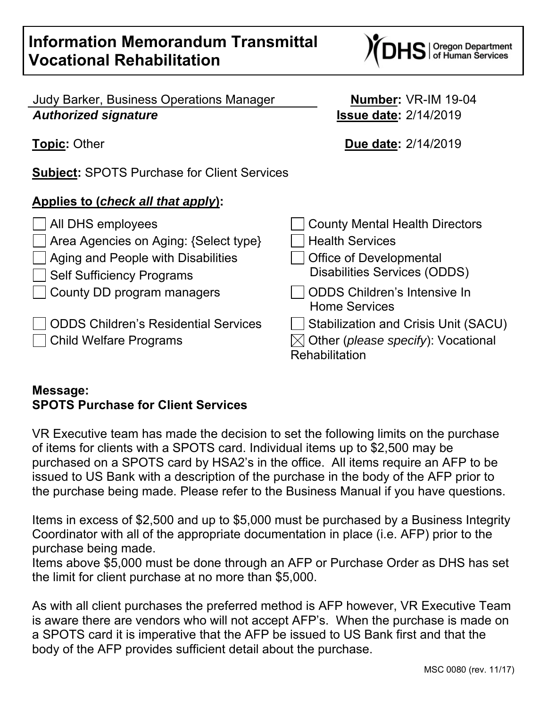## **Information Memorandum Transmittal Vocational Rehabilitation**

Judy Barker, Business Operations Manager **Number:** VR-IM 19-04 *Authorized signature* **Issue date:** 2/14/2019

**Subject:** SPOTS Purchase for Client Services

## **Applies to (***check all that apply***):**

| $\Box$ All DHS employees                  | <b>County Mental Health Directors</b>                                     |
|-------------------------------------------|---------------------------------------------------------------------------|
| Area Agencies on Aging: {Select type}     | <b>Health Services</b>                                                    |
| $\Box$ Aging and People with Disabilities | <b>Office of Developmental</b>                                            |
| Self Sufficiency Programs                 | <b>Disabilities Services (ODDS)</b>                                       |
| County DD program managers                | ODDS Children's Intensive In<br><b>Home Services</b>                      |
| ODDS Children's Residential Services      | Stabilization and Crisis Unit (SACU)                                      |
| □ Child Welfare Programs                  | $\boxtimes$ Other ( <i>please specify</i> ): Vocational<br>Rehabilitation |

## **Message: SPOTS Purchase for Client Services**

VR Executive team has made the decision to set the following limits on the purchase of items for clients with a SPOTS card. Individual items up to \$2,500 may be purchased on a SPOTS card by HSA2's in the office. All items require an AFP to be issued to US Bank with a description of the purchase in the body of the AFP prior to the purchase being made. Please refer to the Business Manual if you have questions.

Items in excess of \$2,500 and up to \$5,000 must be purchased by a Business Integrity Coordinator with all of the appropriate documentation in place (i.e. AFP) prior to the purchase being made.

Items above \$5,000 must be done through an AFP or Purchase Order as DHS has set the limit for client purchase at no more than \$5,000.

As with all client purchases the preferred method is AFP however, VR Executive Team is aware there are vendors who will not accept AFP's. When the purchase is made on a SPOTS card it is imperative that the AFP be issued to US Bank first and that the body of the AFP provides sufficient detail about the purchase.

**Topic:** Other **Due date:**  $2/14/2019$